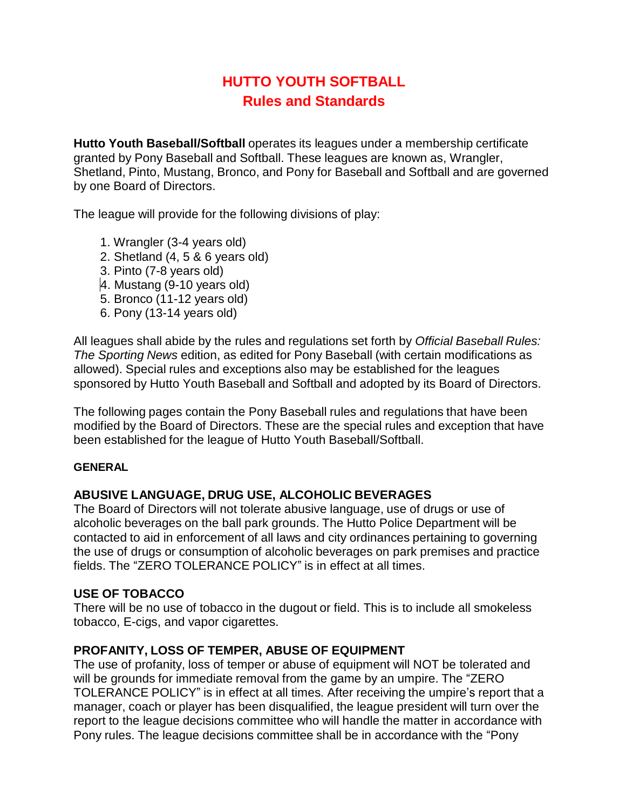# **HUTTO YOUTH SOFTBALL Rules and Standards**

**Hutto Youth Baseball/Softball** operates its leagues under a membership certificate granted by Pony Baseball and Softball. These leagues are known as, Wrangler, Shetland, Pinto, Mustang, Bronco, and Pony for Baseball and Softball and are governed by one Board of Directors.

The league will provide for the following divisions of play:

- 1. Wrangler (3-4 years old)
- 2. Shetland (4, 5 & 6 years old)
- 3. Pinto (7-8 years old)
- 4. Mustang (9-10 years old)
- 5. Bronco (11-12 years old)
- 6. Pony (13-14 years old)

All leagues shall abide by the rules and regulations set forth by *Official Baseball Rules: The Sporting News* edition, as edited for Pony Baseball (with certain modifications as allowed). Special rules and exceptions also may be established for the leagues sponsored by Hutto Youth Baseball and Softball and adopted by its Board of Directors.

The following pages contain the Pony Baseball rules and regulations that have been modified by the Board of Directors. These are the special rules and exception that have been established for the league of Hutto Youth Baseball/Softball.

#### **GENERAL**

## **ABUSIVE LANGUAGE, DRUG USE, ALCOHOLIC BEVERAGES**

The Board of Directors will not tolerate abusive language, use of drugs or use of alcoholic beverages on the ball park grounds. The Hutto Police Department will be contacted to aid in enforcement of all laws and city ordinances pertaining to governing the use of drugs or consumption of alcoholic beverages on park premises and practice fields. The "ZERO TOLERANCE POLICY" is in effect at all times.

## **USE OF TOBACCO**

There will be no use of tobacco in the dugout or field. This is to include all smokeless tobacco, E-cigs, and vapor cigarettes.

## **PROFANITY, LOSS OF TEMPER, ABUSE OF EQUIPMENT**

The use of profanity, loss of temper or abuse of equipment will NOT be tolerated and will be grounds for immediate removal from the game by an umpire. The "ZERO TOLERANCE POLICY" is in effect at all times. After receiving the umpire's report that a manager, coach or player has been disqualified, the league president will turn over the report to the league decisions committee who will handle the matter in accordance with Pony rules. The league decisions committee shall be in accordance with the "Pony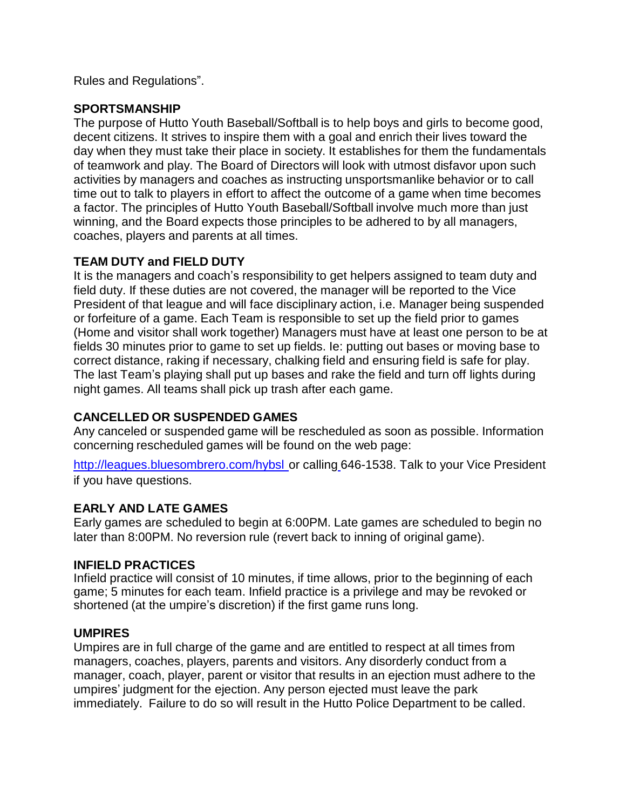Rules and Regulations".

# **SPORTSMANSHIP**

The purpose of Hutto Youth Baseball/Softball is to help boys and girls to become good, decent citizens. It strives to inspire them with a goal and enrich their lives toward the day when they must take their place in society. It establishes for them the fundamentals of teamwork and play. The Board of Directors will look with utmost disfavor upon such activities by managers and coaches as instructing unsportsmanlike behavior or to call time out to talk to players in effort to affect the outcome of a game when time becomes a factor. The principles of Hutto Youth Baseball/Softball involve much more than just winning, and the Board expects those principles to be adhered to by all managers, coaches, players and parents at all times.

# **TEAM DUTY and FIELD DUTY**

It is the managers and coach's responsibility to get helpers assigned to team duty and field duty. If these duties are not covered, the manager will be reported to the Vice President of that league and will face disciplinary action, i.e. Manager being suspended or forfeiture of a game. Each Team is responsible to set up the field prior to games (Home and visitor shall work together) Managers must have at least one person to be at fields 30 minutes prior to game to set up fields. Ie: putting out bases or moving base to correct distance, raking if necessary, chalking field and ensuring field is safe for play. The last Team's playing shall put up bases and rake the field and turn off lights during night games. All teams shall pick up trash after each game.

# **CANCELLED OR SUSPENDED GAMES**

Any canceled or suspended game will be rescheduled as soon as possible. Information concerning rescheduled games will be found on the web page:

[http://leagues.bluesombrero.com/hybsl](http://leagues.bluesombrero.com/hybsl or%20calling%20646-1538) or calling 646-1538. Talk to your Vice President if you have questions.

# **EARLY AND LATE GAMES**

Early games are scheduled to begin at 6:00PM. Late games are scheduled to begin no later than 8:00PM. No reversion rule (revert back to inning of original game).

# **INFIELD PRACTICES**

Infield practice will consist of 10 minutes, if time allows, prior to the beginning of each game; 5 minutes for each team. Infield practice is a privilege and may be revoked or shortened (at the umpire's discretion) if the first game runs long.

# **UMPIRES**

Umpires are in full charge of the game and are entitled to respect at all times from managers, coaches, players, parents and visitors. Any disorderly conduct from a manager, coach, player, parent or visitor that results in an ejection must adhere to the umpires' judgment for the ejection. Any person ejected must leave the park immediately. Failure to do so will result in the Hutto Police Department to be called.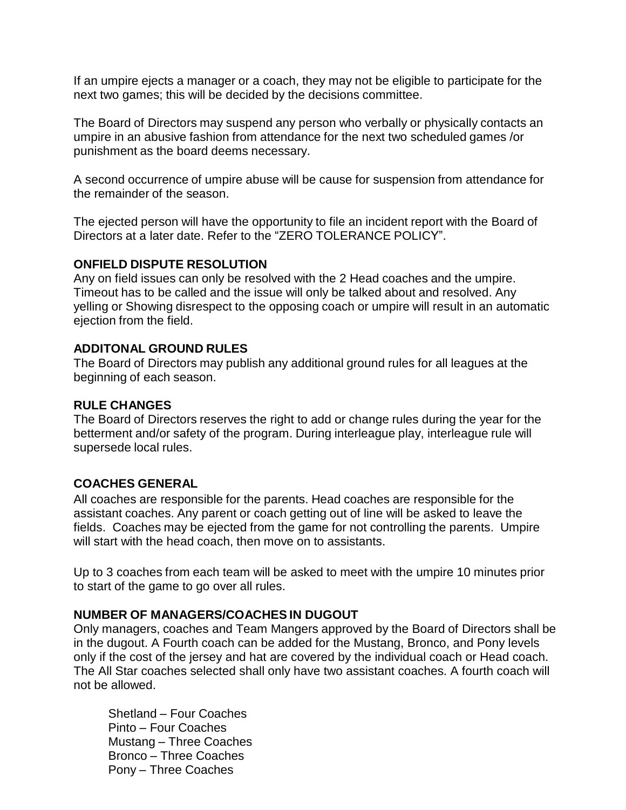If an umpire ejects a manager or a coach, they may not be eligible to participate for the next two games; this will be decided by the decisions committee.

The Board of Directors may suspend any person who verbally or physically contacts an umpire in an abusive fashion from attendance for the next two scheduled games /or punishment as the board deems necessary.

A second occurrence of umpire abuse will be cause for suspension from attendance for the remainder of the season.

The ejected person will have the opportunity to file an incident report with the Board of Directors at a later date. Refer to the "ZERO TOLERANCE POLICY".

## **ONFIELD DISPUTE RESOLUTION**

Any on field issues can only be resolved with the 2 Head coaches and the umpire. Timeout has to be called and the issue will only be talked about and resolved. Any yelling or Showing disrespect to the opposing coach or umpire will result in an automatic ejection from the field.

# **ADDITONAL GROUND RULES**

The Board of Directors may publish any additional ground rules for all leagues at the beginning of each season.

## **RULE CHANGES**

The Board of Directors reserves the right to add or change rules during the year for the betterment and/or safety of the program. During interleague play, interleague rule will supersede local rules.

# **COACHES GENERAL**

All coaches are responsible for the parents. Head coaches are responsible for the assistant coaches. Any parent or coach getting out of line will be asked to leave the fields. Coaches may be ejected from the game for not controlling the parents. Umpire will start with the head coach, then move on to assistants.

Up to 3 coaches from each team will be asked to meet with the umpire 10 minutes prior to start of the game to go over all rules.

## **NUMBER OF MANAGERS/COACHES IN DUGOUT**

Only managers, coaches and Team Mangers approved by the Board of Directors shall be in the dugout. A Fourth coach can be added for the Mustang, Bronco, and Pony levels only if the cost of the jersey and hat are covered by the individual coach or Head coach. The All Star coaches selected shall only have two assistant coaches. A fourth coach will not be allowed.

Shetland – Four Coaches Pinto – Four Coaches Mustang – Three Coaches Bronco – Three Coaches Pony – Three Coaches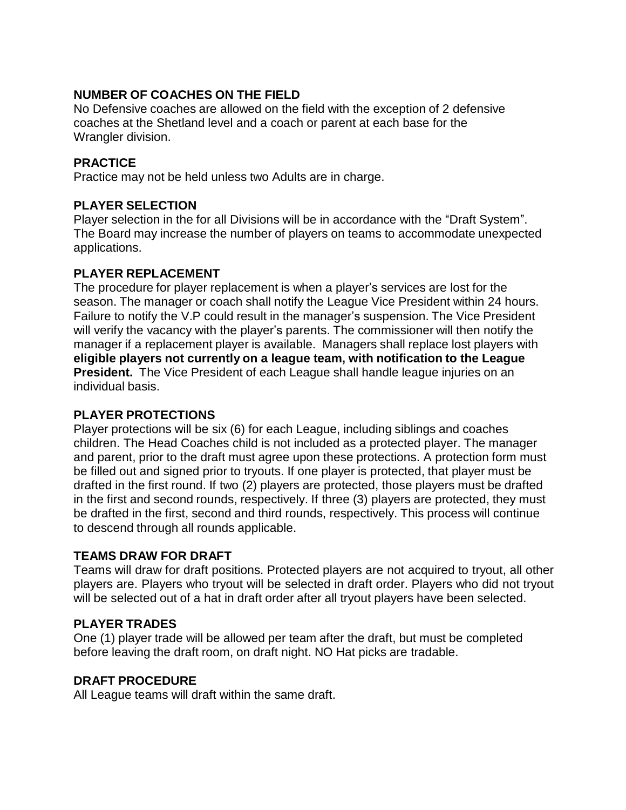# **NUMBER OF COACHES ON THE FIELD**

No Defensive coaches are allowed on the field with the exception of 2 defensive coaches at the Shetland level and a coach or parent at each base for the Wrangler division.

# **PRACTICE**

Practice may not be held unless two Adults are in charge.

# **PLAYER SELECTION**

Player selection in the for all Divisions will be in accordance with the "Draft System". The Board may increase the number of players on teams to accommodate unexpected applications.

# **PLAYER REPLACEMENT**

The procedure for player replacement is when a player's services are lost for the season. The manager or coach shall notify the League Vice President within 24 hours. Failure to notify the V.P could result in the manager's suspension. The Vice President will verify the vacancy with the player's parents. The commissioner will then notify the manager if a replacement player is available. Managers shall replace lost players with **eligible players not currently on a league team, with notification to the League President.** The Vice President of each League shall handle league injuries on an individual basis.

# **PLAYER PROTECTIONS**

Player protections will be six (6) for each League, including siblings and coaches children. The Head Coaches child is not included as a protected player. The manager and parent, prior to the draft must agree upon these protections. A protection form must be filled out and signed prior to tryouts. If one player is protected, that player must be drafted in the first round. If two (2) players are protected, those players must be drafted in the first and second rounds, respectively. If three (3) players are protected, they must be drafted in the first, second and third rounds, respectively. This process will continue to descend through all rounds applicable.

# **TEAMS DRAW FOR DRAFT**

Teams will draw for draft positions. Protected players are not acquired to tryout, all other players are. Players who tryout will be selected in draft order. Players who did not tryout will be selected out of a hat in draft order after all tryout players have been selected.

# **PLAYER TRADES**

One (1) player trade will be allowed per team after the draft, but must be completed before leaving the draft room, on draft night. NO Hat picks are tradable.

## **DRAFT PROCEDURE**

All League teams will draft within the same draft.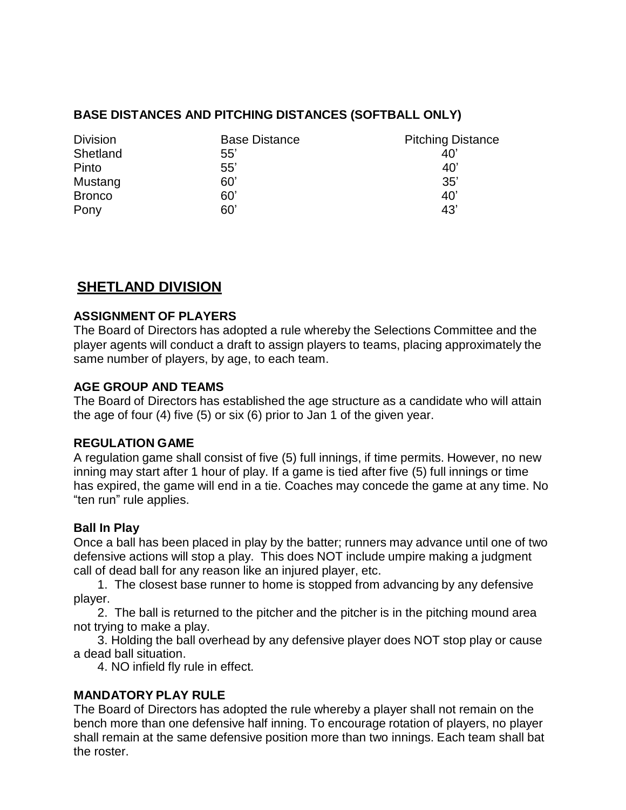# **BASE DISTANCES AND PITCHING DISTANCES (SOFTBALL ONLY)**

| <b>Division</b> | <b>Base Distance</b> | <b>Pitching Distance</b> |
|-----------------|----------------------|--------------------------|
| Shetland        | 55'                  | 40'                      |
| Pinto           | 55'                  | 40'                      |
| Mustang         | 60'                  | 35'                      |
| <b>Bronco</b>   | 60'                  | 40'                      |
| Pony            | 60'                  | 43'                      |

# **SHETLAND DIVISION**

# **ASSIGNMENT OF PLAYERS**

The Board of Directors has adopted a rule whereby the Selections Committee and the player agents will conduct a draft to assign players to teams, placing approximately the same number of players, by age, to each team.

# **AGE GROUP AND TEAMS**

The Board of Directors has established the age structure as a candidate who will attain the age of four (4) five (5) or six (6) prior to Jan 1 of the given year.

## **REGULATION GAME**

A regulation game shall consist of five (5) full innings, if time permits. However, no new inning may start after 1 hour of play. If a game is tied after five (5) full innings or time has expired, the game will end in a tie. Coaches may concede the game at any time. No "ten run" rule applies.

## **Ball In Play**

Once a ball has been placed in play by the batter; runners may advance until one of two defensive actions will stop a play. This does NOT include umpire making a judgment call of dead ball for any reason like an injured player, etc.

1. The closest base runner to home is stopped from advancing by any defensive player.

2. The ball is returned to the pitcher and the pitcher is in the pitching mound area not trying to make a play.

3. Holding the ball overhead by any defensive player does NOT stop play or cause a dead ball situation.

4. NO infield fly rule in effect.

# **MANDATORY PLAY RULE**

The Board of Directors has adopted the rule whereby a player shall not remain on the bench more than one defensive half inning. To encourage rotation of players, no player shall remain at the same defensive position more than two innings. Each team shall bat the roster.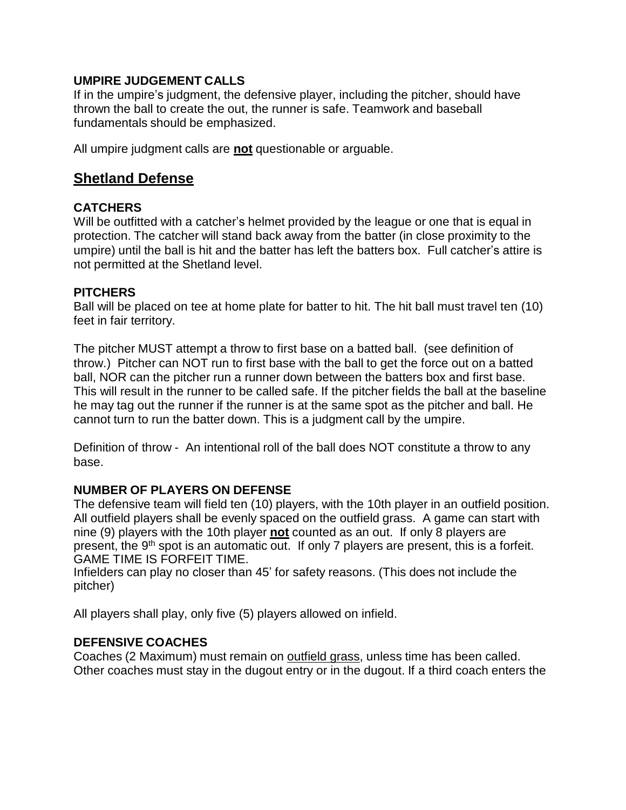## **UMPIRE JUDGEMENT CALLS**

If in the umpire's judgment, the defensive player, including the pitcher, should have thrown the ball to create the out, the runner is safe. Teamwork and baseball fundamentals should be emphasized.

All umpire judgment calls are **not** questionable or arguable.

# **Shetland Defense**

# **CATCHERS**

Will be outfitted with a catcher's helmet provided by the league or one that is equal in protection. The catcher will stand back away from the batter (in close proximity to the umpire) until the ball is hit and the batter has left the batters box. Full catcher's attire is not permitted at the Shetland level.

## **PITCHERS**

Ball will be placed on tee at home plate for batter to hit. The hit ball must travel ten (10) feet in fair territory.

The pitcher MUST attempt a throw to first base on a batted ball. (see definition of throw.) Pitcher can NOT run to first base with the ball to get the force out on a batted ball, NOR can the pitcher run a runner down between the batters box and first base. This will result in the runner to be called safe. If the pitcher fields the ball at the baseline he may tag out the runner if the runner is at the same spot as the pitcher and ball. He cannot turn to run the batter down. This is a judgment call by the umpire.

Definition of throw - An intentional roll of the ball does NOT constitute a throw to any base.

# **NUMBER OF PLAYERS ON DEFENSE**

The defensive team will field ten (10) players, with the 10th player in an outfield position. All outfield players shall be evenly spaced on the outfield grass. A game can start with nine (9) players with the 10th player **not** counted as an out. If only 8 players are present, the 9<sup>th</sup> spot is an automatic out. If only 7 players are present, this is a forfeit. GAME TIME IS FORFEIT TIME.

Infielders can play no closer than 45' for safety reasons. (This does not include the pitcher)

All players shall play, only five (5) players allowed on infield.

# **DEFENSIVE COACHES**

Coaches (2 Maximum) must remain on outfield grass, unless time has been called. Other coaches must stay in the dugout entry or in the dugout. If a third coach enters the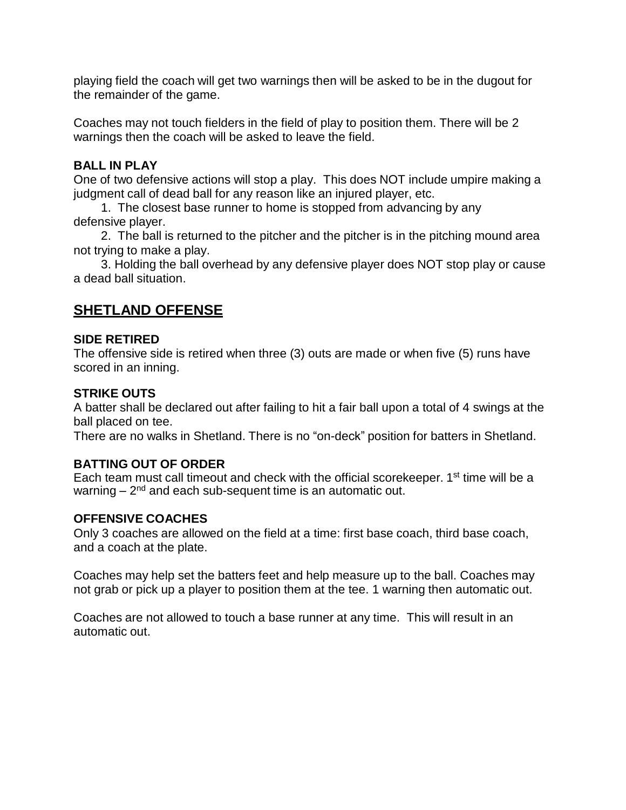playing field the coach will get two warnings then will be asked to be in the dugout for the remainder of the game.

Coaches may not touch fielders in the field of play to position them. There will be 2 warnings then the coach will be asked to leave the field.

## **BALL IN PLAY**

One of two defensive actions will stop a play. This does NOT include umpire making a judgment call of dead ball for any reason like an injured player, etc.

1. The closest base runner to home is stopped from advancing by any defensive player.

2. The ball is returned to the pitcher and the pitcher is in the pitching mound area not trying to make a play.

3. Holding the ball overhead by any defensive player does NOT stop play or cause a dead ball situation.

# **SHETLAND OFFENSE**

## **SIDE RETIRED**

The offensive side is retired when three (3) outs are made or when five (5) runs have scored in an inning.

# **STRIKE OUTS**

A batter shall be declared out after failing to hit a fair ball upon a total of 4 swings at the ball placed on tee.

There are no walks in Shetland. There is no "on-deck" position for batters in Shetland.

# **BATTING OUT OF ORDER**

Each team must call timeout and check with the official scorekeeper. 1<sup>st</sup> time will be a warning – 2<sup>nd</sup> and each sub-sequent time is an automatic out.

# **OFFENSIVE COACHES**

Only 3 coaches are allowed on the field at a time: first base coach, third base coach, and a coach at the plate.

Coaches may help set the batters feet and help measure up to the ball. Coaches may not grab or pick up a player to position them at the tee. 1 warning then automatic out.

Coaches are not allowed to touch a base runner at any time. This will result in an automatic out.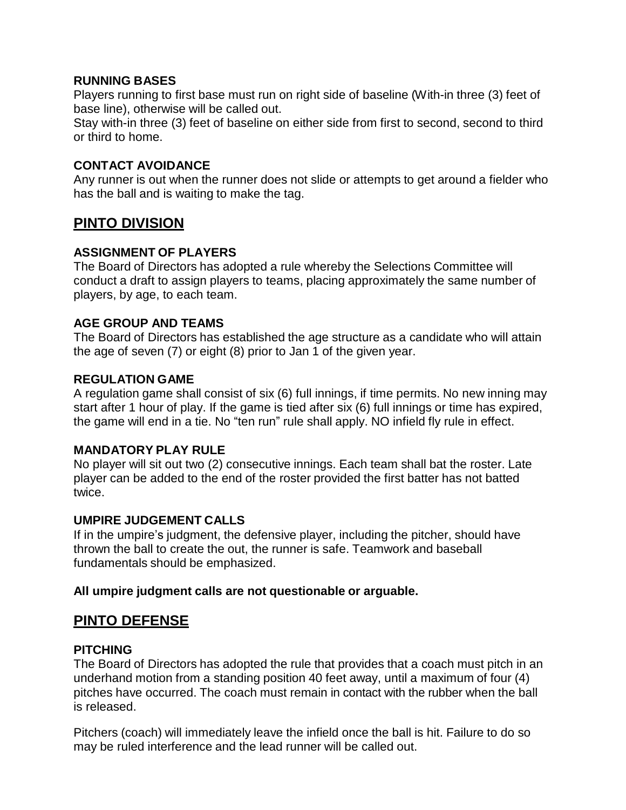## **RUNNING BASES**

Players running to first base must run on right side of baseline (With-in three (3) feet of base line), otherwise will be called out.

Stay with-in three (3) feet of baseline on either side from first to second, second to third or third to home.

## **CONTACT AVOIDANCE**

Any runner is out when the runner does not slide or attempts to get around a fielder who has the ball and is waiting to make the tag.

# **PINTO DIVISION**

# **ASSIGNMENT OF PLAYERS**

The Board of Directors has adopted a rule whereby the Selections Committee will conduct a draft to assign players to teams, placing approximately the same number of players, by age, to each team.

## **AGE GROUP AND TEAMS**

The Board of Directors has established the age structure as a candidate who will attain the age of seven (7) or eight (8) prior to Jan 1 of the given year.

## **REGULATION GAME**

A regulation game shall consist of six (6) full innings, if time permits. No new inning may start after 1 hour of play. If the game is tied after six (6) full innings or time has expired, the game will end in a tie. No "ten run" rule shall apply. NO infield fly rule in effect.

## **MANDATORY PLAY RULE**

No player will sit out two (2) consecutive innings. Each team shall bat the roster. Late player can be added to the end of the roster provided the first batter has not batted twice.

## **UMPIRE JUDGEMENT CALLS**

If in the umpire's judgment, the defensive player, including the pitcher, should have thrown the ball to create the out, the runner is safe. Teamwork and baseball fundamentals should be emphasized.

## **All umpire judgment calls are not questionable or arguable.**

# **PINTO DEFENSE**

## **PITCHING**

The Board of Directors has adopted the rule that provides that a coach must pitch in an underhand motion from a standing position 40 feet away, until a maximum of four (4) pitches have occurred. The coach must remain in contact with the rubber when the ball is released.

Pitchers (coach) will immediately leave the infield once the ball is hit. Failure to do so may be ruled interference and the lead runner will be called out.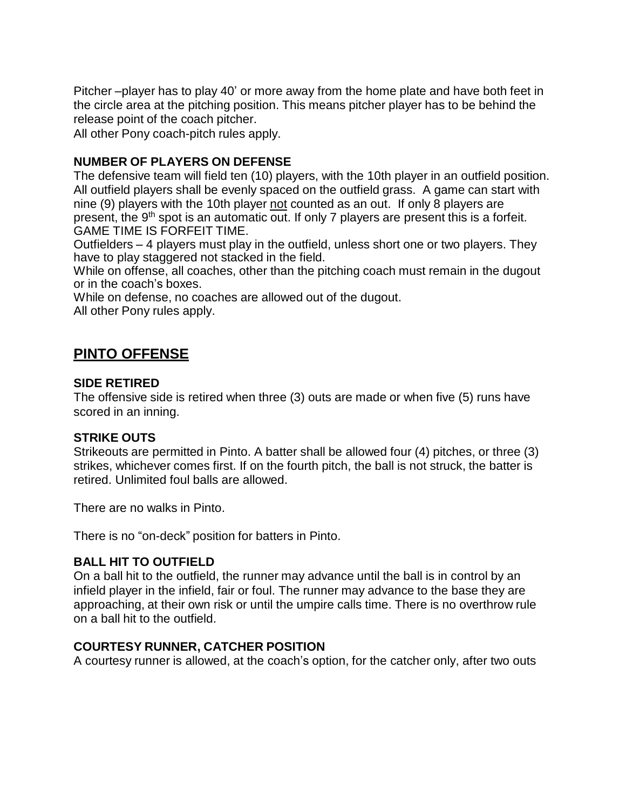Pitcher –player has to play 40' or more away from the home plate and have both feet in the circle area at the pitching position. This means pitcher player has to be behind the release point of the coach pitcher.

All other Pony coach-pitch rules apply.

# **NUMBER OF PLAYERS ON DEFENSE**

The defensive team will field ten (10) players, with the 10th player in an outfield position. All outfield players shall be evenly spaced on the outfield grass. A game can start with nine (9) players with the 10th player not counted as an out. If only 8 players are present, the 9<sup>th</sup> spot is an automatic out. If only 7 players are present this is a forfeit. GAME TIME IS FORFEIT TIME.

Outfielders – 4 players must play in the outfield, unless short one or two players. They have to play staggered not stacked in the field.

While on offense, all coaches, other than the pitching coach must remain in the dugout or in the coach's boxes.

While on defense, no coaches are allowed out of the dugout. All other Pony rules apply.

# **PINTO OFFENSE**

## **SIDE RETIRED**

The offensive side is retired when three (3) outs are made or when five (5) runs have scored in an inning.

## **STRIKE OUTS**

Strikeouts are permitted in Pinto. A batter shall be allowed four (4) pitches, or three (3) strikes, whichever comes first. If on the fourth pitch, the ball is not struck, the batter is retired. Unlimited foul balls are allowed.

There are no walks in Pinto.

There is no "on-deck" position for batters in Pinto.

## **BALL HIT TO OUTFIELD**

On a ball hit to the outfield, the runner may advance until the ball is in control by an infield player in the infield, fair or foul. The runner may advance to the base they are approaching, at their own risk or until the umpire calls time. There is no overthrow rule on a ball hit to the outfield.

## **COURTESY RUNNER, CATCHER POSITION**

A courtesy runner is allowed, at the coach's option, for the catcher only, after two outs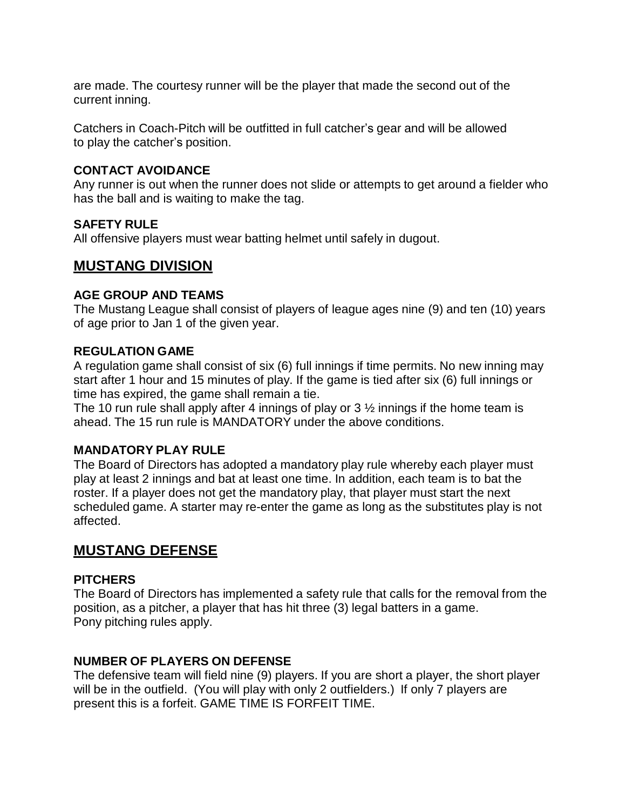are made. The courtesy runner will be the player that made the second out of the current inning.

Catchers in Coach-Pitch will be outfitted in full catcher's gear and will be allowed to play the catcher's position.

## **CONTACT AVOIDANCE**

Any runner is out when the runner does not slide or attempts to get around a fielder who has the ball and is waiting to make the tag.

#### **SAFETY RULE**

All offensive players must wear batting helmet until safely in dugout.

# **MUSTANG DIVISION**

#### **AGE GROUP AND TEAMS**

The Mustang League shall consist of players of league ages nine (9) and ten (10) years of age prior to Jan 1 of the given year.

#### **REGULATION GAME**

A regulation game shall consist of six (6) full innings if time permits. No new inning may start after 1 hour and 15 minutes of play. If the game is tied after six (6) full innings or time has expired, the game shall remain a tie.

The 10 run rule shall apply after 4 innings of play or  $3\frac{1}{2}$  innings if the home team is ahead. The 15 run rule is MANDATORY under the above conditions.

#### **MANDATORY PLAY RULE**

The Board of Directors has adopted a mandatory play rule whereby each player must play at least 2 innings and bat at least one time. In addition, each team is to bat the roster. If a player does not get the mandatory play, that player must start the next scheduled game. A starter may re-enter the game as long as the substitutes play is not affected.

# **MUSTANG DEFENSE**

## **PITCHERS**

The Board of Directors has implemented a safety rule that calls for the removal from the position, as a pitcher, a player that has hit three (3) legal batters in a game. Pony pitching rules apply.

## **NUMBER OF PLAYERS ON DEFENSE**

The defensive team will field nine (9) players. If you are short a player, the short player will be in the outfield. (You will play with only 2 outfielders.) If only 7 players are present this is a forfeit. GAME TIME IS FORFEIT TIME.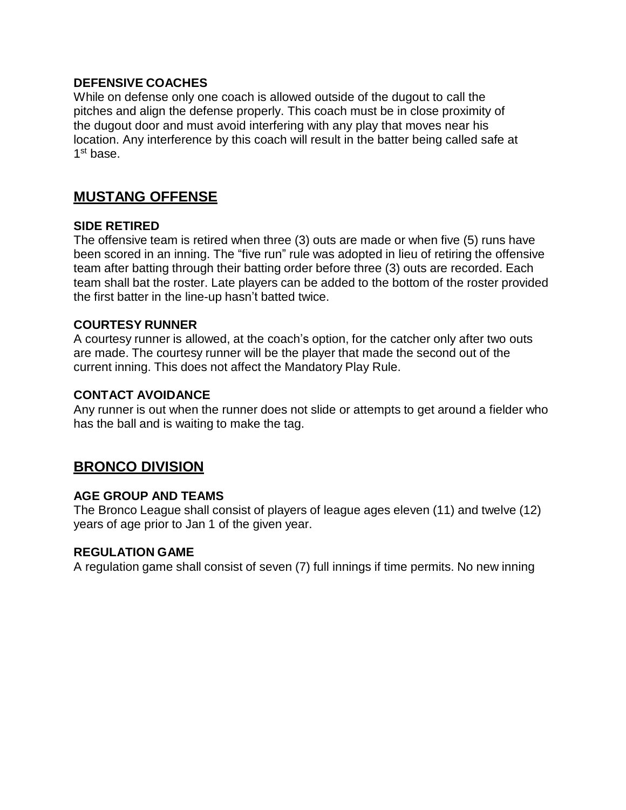## **DEFENSIVE COACHES**

While on defense only one coach is allowed outside of the dugout to call the pitches and align the defense properly. This coach must be in close proximity of the dugout door and must avoid interfering with any play that moves near his location. Any interference by this coach will result in the batter being called safe at 1<sup>st</sup> base.

# **MUSTANG OFFENSE**

#### **SIDE RETIRED**

The offensive team is retired when three (3) outs are made or when five (5) runs have been scored in an inning. The "five run" rule was adopted in lieu of retiring the offensive team after batting through their batting order before three (3) outs are recorded. Each team shall bat the roster. Late players can be added to the bottom of the roster provided the first batter in the line-up hasn't batted twice.

#### **COURTESY RUNNER**

A courtesy runner is allowed, at the coach's option, for the catcher only after two outs are made. The courtesy runner will be the player that made the second out of the current inning. This does not affect the Mandatory Play Rule.

#### **CONTACT AVOIDANCE**

Any runner is out when the runner does not slide or attempts to get around a fielder who has the ball and is waiting to make the tag.

# **BRONCO DIVISION**

## **AGE GROUP AND TEAMS**

The Bronco League shall consist of players of league ages eleven (11) and twelve (12) years of age prior to Jan 1 of the given year.

#### **REGULATION GAME**

A regulation game shall consist of seven (7) full innings if time permits. No new inning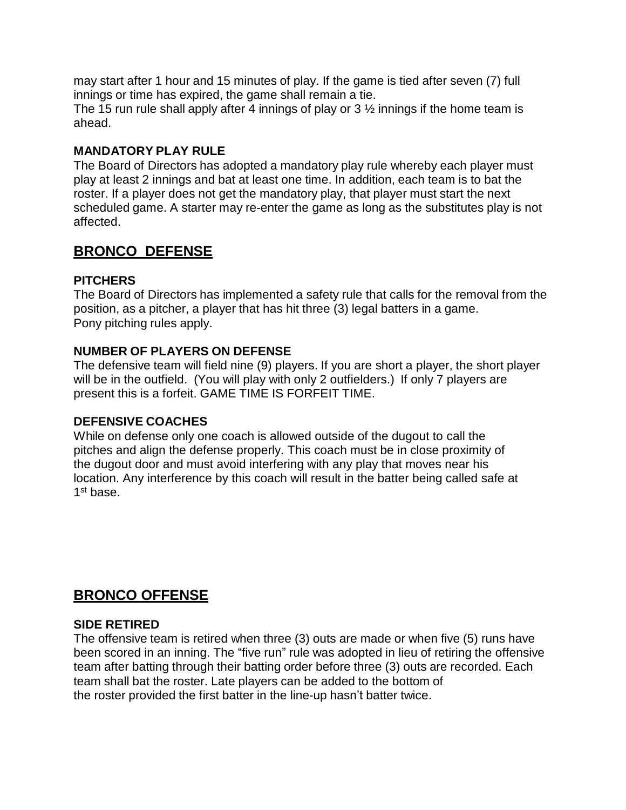may start after 1 hour and 15 minutes of play. If the game is tied after seven (7) full innings or time has expired, the game shall remain a tie.

The 15 run rule shall apply after 4 innings of play or  $3\frac{1}{2}$  innings if the home team is ahead.

# **MANDATORY PLAY RULE**

The Board of Directors has adopted a mandatory play rule whereby each player must play at least 2 innings and bat at least one time. In addition, each team is to bat the roster. If a player does not get the mandatory play, that player must start the next scheduled game. A starter may re-enter the game as long as the substitutes play is not affected.

# **BRONCO DEFENSE**

# **PITCHERS**

The Board of Directors has implemented a safety rule that calls for the removal from the position, as a pitcher, a player that has hit three (3) legal batters in a game. Pony pitching rules apply.

# **NUMBER OF PLAYERS ON DEFENSE**

The defensive team will field nine (9) players. If you are short a player, the short player will be in the outfield. (You will play with only 2 outfielders.) If only 7 players are present this is a forfeit. GAME TIME IS FORFEIT TIME.

## **DEFENSIVE COACHES**

While on defense only one coach is allowed outside of the dugout to call the pitches and align the defense properly. This coach must be in close proximity of the dugout door and must avoid interfering with any play that moves near his location. Any interference by this coach will result in the batter being called safe at 1<sup>st</sup> base.

# **BRONCO OFFENSE**

## **SIDE RETIRED**

The offensive team is retired when three (3) outs are made or when five (5) runs have been scored in an inning. The "five run" rule was adopted in lieu of retiring the offensive team after batting through their batting order before three (3) outs are recorded. Each team shall bat the roster. Late players can be added to the bottom of the roster provided the first batter in the line-up hasn't batter twice.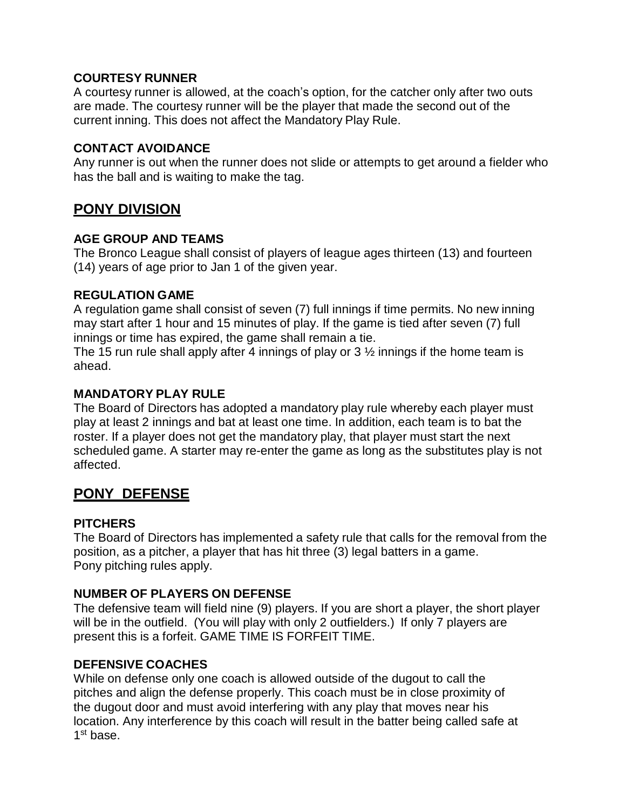## **COURTESY RUNNER**

A courtesy runner is allowed, at the coach's option, for the catcher only after two outs are made. The courtesy runner will be the player that made the second out of the current inning. This does not affect the Mandatory Play Rule.

#### **CONTACT AVOIDANCE**

Any runner is out when the runner does not slide or attempts to get around a fielder who has the ball and is waiting to make the tag.

# **PONY DIVISION**

#### **AGE GROUP AND TEAMS**

The Bronco League shall consist of players of league ages thirteen (13) and fourteen (14) years of age prior to Jan 1 of the given year.

#### **REGULATION GAME**

A regulation game shall consist of seven (7) full innings if time permits. No new inning may start after 1 hour and 15 minutes of play. If the game is tied after seven (7) full innings or time has expired, the game shall remain a tie.

The 15 run rule shall apply after 4 innings of play or  $3\frac{1}{2}$  innings if the home team is ahead.

#### **MANDATORY PLAY RULE**

The Board of Directors has adopted a mandatory play rule whereby each player must play at least 2 innings and bat at least one time. In addition, each team is to bat the roster. If a player does not get the mandatory play, that player must start the next scheduled game. A starter may re-enter the game as long as the substitutes play is not affected.

# **PONY DEFENSE**

#### **PITCHERS**

The Board of Directors has implemented a safety rule that calls for the removal from the position, as a pitcher, a player that has hit three (3) legal batters in a game. Pony pitching rules apply.

## **NUMBER OF PLAYERS ON DEFENSE**

The defensive team will field nine (9) players. If you are short a player, the short player will be in the outfield. (You will play with only 2 outfielders.) If only 7 players are present this is a forfeit. GAME TIME IS FORFEIT TIME.

## **DEFENSIVE COACHES**

While on defense only one coach is allowed outside of the dugout to call the pitches and align the defense properly. This coach must be in close proximity of the dugout door and must avoid interfering with any play that moves near his location. Any interference by this coach will result in the batter being called safe at 1<sup>st</sup> base.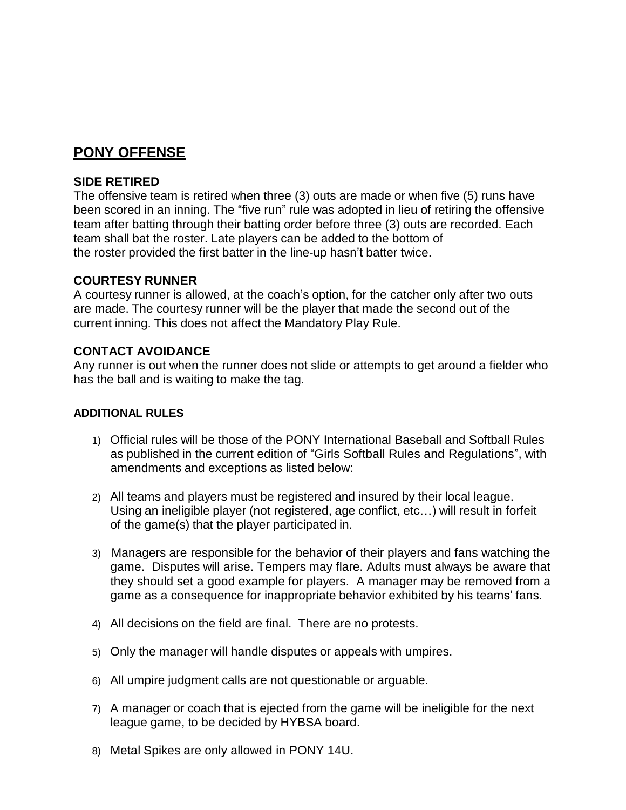# **PONY OFFENSE**

## **SIDE RETIRED**

The offensive team is retired when three (3) outs are made or when five (5) runs have been scored in an inning. The "five run" rule was adopted in lieu of retiring the offensive team after batting through their batting order before three (3) outs are recorded. Each team shall bat the roster. Late players can be added to the bottom of the roster provided the first batter in the line-up hasn't batter twice.

## **COURTESY RUNNER**

A courtesy runner is allowed, at the coach's option, for the catcher only after two outs are made. The courtesy runner will be the player that made the second out of the current inning. This does not affect the Mandatory Play Rule.

## **CONTACT AVOIDANCE**

Any runner is out when the runner does not slide or attempts to get around a fielder who has the ball and is waiting to make the tag.

#### **ADDITIONAL RULES**

- 1) Official rules will be those of the PONY International Baseball and Softball Rules as published in the current edition of "Girls Softball Rules and Regulations", with amendments and exceptions as listed below:
- 2) All teams and players must be registered and insured by their local league. Using an ineligible player (not registered, age conflict, etc…) will result in forfeit of the game(s) that the player participated in.
- 3) Managers are responsible for the behavior of their players and fans watching the game. Disputes will arise. Tempers may flare. Adults must always be aware that they should set a good example for players. A manager may be removed from a game as a consequence for inappropriate behavior exhibited by his teams' fans.
- 4) All decisions on the field are final. There are no protests.
- 5) Only the manager will handle disputes or appeals with umpires.
- 6) All umpire judgment calls are not questionable or arguable.
- 7) A manager or coach that is ejected from the game will be ineligible for the next league game, to be decided by HYBSA board.
- 8) Metal Spikes are only allowed in PONY 14U.